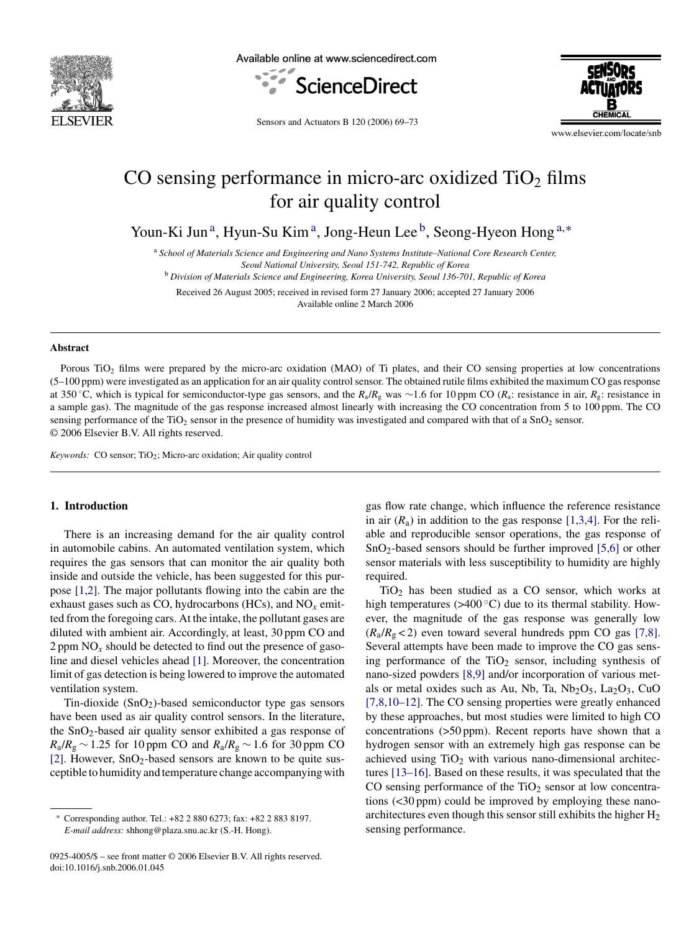

Available online at www.sciencedirect.com





Sensors and Actuators B 120 (2006) 69–73

www.elsevier.com/locate/snb

## CO sensing performance in micro-arc oxidized  $TiO<sub>2</sub>$  films for air quality control

Youn-Ki Jun<sup>a</sup>, Hyun-Su Kim<sup>a</sup>, Jong-Heun Lee<sup>b</sup>, Seong-Hyeon Hong<sup>a,\*</sup>

<sup>a</sup> *School of Materials Science and Engineering and Nano Systems Institute–National Core Research Center,*

*Seoul National University, Seoul 151-742, Republic of Korea*

<sup>b</sup> *Division of Materials Science and Engineering, Korea University, Seoul 136-701, Republic of Korea*

Received 26 August 2005; received in revised form 27 January 2006; accepted 27 January 2006 Available online 2 March 2006

#### **Abstract**

Porous TiO<sub>2</sub> films were prepared by the micro-arc oxidation (MAO) of Ti plates, and their CO sensing properties at low concentrations  $(5-100$  ppm) were investigated as an application for an air quality control sensor. The obtained rutile films exhibited the maximum CO gas response at 350 ◦C, which is typical for semiconductor-type gas sensors, and the *R*a/*R*<sup>g</sup> was ∼1.6 for 10 ppm CO (*R*a: resistance in air, *R*g: resistance in a sample gas). The magnitude of the gas response increased almost linearly with increasing the CO concentration from 5 to 100 ppm. The CO sensing performance of the TiO<sub>2</sub> sensor in the presence of humidity was investigated and compared with that of a SnO<sub>2</sub> sensor. © 2006 Elsevier B.V. All rights reserved.

*Keywords:* CO sensor; TiO<sub>2</sub>; Micro-arc oxidation; Air quality control

### **1. Introduction**

There is an increasing demand for the air quality control in automobile cabins. An automated ventilation system, which requires the gas sensors that can monitor the air quality both inside and outside the vehicle, has been suggested for this purpose [\[1,2\].](#page--1-0) The major pollutants flowing into the cabin are the exhaust gases such as CO, hydrocarbons (HCs), and NO*x* emitted from the foregoing cars. At the intake, the pollutant gases are diluted with ambient air. Accordingly, at least, 30 ppm CO and  $2$  ppm  $NO<sub>x</sub>$  should be detected to find out the presence of gasoline and diesel vehicles ahead [\[1\]. M](#page--1-0)oreover, the concentration limit of gas detection is being lowered to improve the automated ventilation system.

Tin-dioxide  $(SnO<sub>2</sub>)$ -based semiconductor type gas sensors have been used as air quality control sensors. In the literature, the SnO2-based air quality sensor exhibited a gas response of *R*<sub>a</sub>/*R*<sub>g</sub> ∼ 1.25 for 10 ppm CO and  $R_a/R_g$  ∼ 1.6 for 30 ppm CO [\[2\].](#page--1-0) However,  $SnO<sub>2</sub>$ -based sensors are known to be quite susceptible to humidity and temperature change accompanying with

0925-4005/\$ – see front matter © 2006 Elsevier B.V. All rights reserved. doi:10.1016/j.snb.2006.01.045

gas flow rate change, which influence the reference resistance in air  $(R_a)$  in addition to the gas response [\[1,3,4\].](#page--1-0) For the reliable and reproducible sensor operations, the gas response of SnO<sub>2</sub>-based sensors should be further improved [\[5,6\]](#page--1-0) or other sensor materials with less susceptibility to humidity are highly required.

 $TiO<sub>2</sub>$  has been studied as a CO sensor, which works at high temperatures ( $>400^{\circ}$ C) due to its thermal stability. However, the magnitude of the gas response was generally low  $(R_a/R_g < 2)$  even toward several hundreds ppm CO gas [\[7,8\].](#page--1-0) Several attempts have been made to improve the CO gas sensing performance of the  $TiO<sub>2</sub>$  sensor, including synthesis of nano-sized powders [\[8,9\]](#page--1-0) and/or incorporation of various metals or metal oxides such as Au, Nb, Ta,  $Nb_2O_5$ , La<sub>2</sub>O<sub>3</sub>, CuO [\[7,8,10–12\].](#page--1-0) The CO sensing properties were greatly enhanced by these approaches, but most studies were limited to high CO concentrations (>50 ppm). Recent reports have shown that a hydrogen sensor with an extremely high gas response can be achieved using  $TiO<sub>2</sub>$  with various nano-dimensional architectures [\[13–16\]. B](#page--1-0)ased on these results, it was speculated that the CO sensing performance of the  $TiO<sub>2</sub>$  sensor at low concentrations (<30 ppm) could be improved by employing these nanoarchitectures even though this sensor still exhibits the higher  $H_2$ sensing performance.

<sup>∗</sup> Corresponding author. Tel.: +82 2 880 6273; fax: +82 2 883 8197. *E-mail address:* shhong@plaza.snu.ac.kr (S.-H. Hong).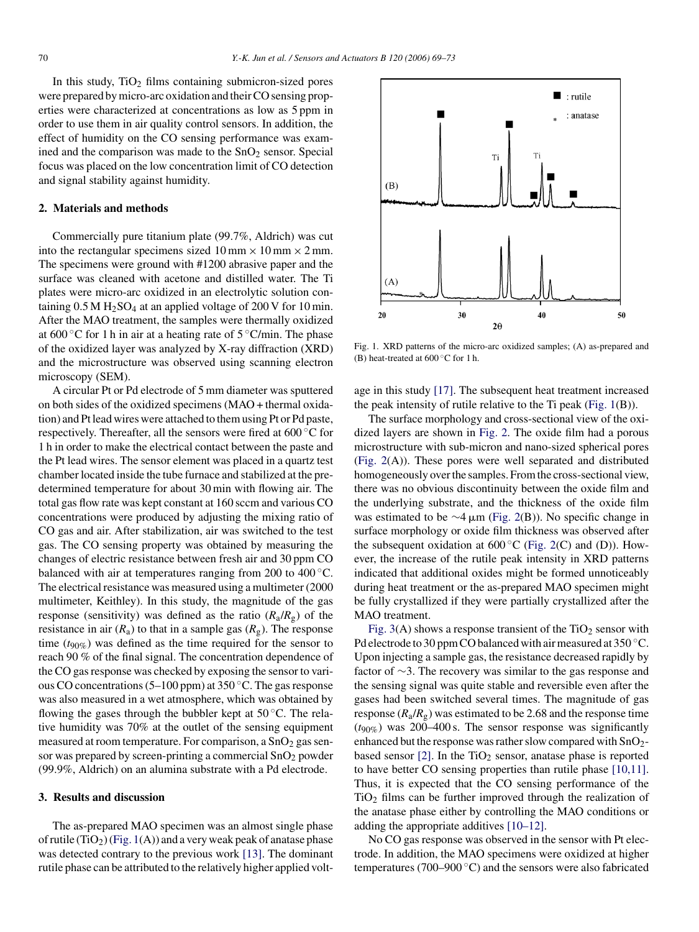In this study,  $TiO<sub>2</sub>$  films containing submicron-sized pores were prepared by micro-arc oxidation and their CO sensing properties were characterized at concentrations as low as 5 ppm in order to use them in air quality control sensors. In addition, the effect of humidity on the CO sensing performance was examined and the comparison was made to the  $SnO<sub>2</sub>$  sensor. Special focus was placed on the low concentration limit of CO detection and signal stability against humidity.

#### **2. Materials and methods**

Commercially pure titanium plate (99.7%, Aldrich) was cut into the rectangular specimens sized  $10 \text{ mm} \times 10 \text{ mm} \times 2 \text{ mm}$ . The specimens were ground with #1200 abrasive paper and the surface was cleaned with acetone and distilled water. The Ti plates were micro-arc oxidized in an electrolytic solution containing  $0.5 M H_2SO_4$  at an applied voltage of 200 V for 10 min. After the MAO treatment, the samples were thermally oxidized at  $600\degree$ C for 1 h in air at a heating rate of  $5\degree$ C/min. The phase of the oxidized layer was analyzed by X-ray diffraction (XRD) and the microstructure was observed using scanning electron microscopy (SEM).

A circular Pt or Pd electrode of 5 mm diameter was sputtered on both sides of the oxidized specimens (MAO + thermal oxidation) and Pt lead wires were attached to them using Pt or Pd paste, respectively. Thereafter, all the sensors were fired at 600 ◦C for 1 h in order to make the electrical contact between the paste and the Pt lead wires. The sensor element was placed in a quartz test chamber located inside the tube furnace and stabilized at the predetermined temperature for about 30 min with flowing air. The total gas flow rate was kept constant at 160 sccm and various CO concentrations were produced by adjusting the mixing ratio of CO gas and air. After stabilization, air was switched to the test gas. The CO sensing property was obtained by measuring the changes of electric resistance between fresh air and 30 ppm CO balanced with air at temperatures ranging from 200 to 400 ℃. The electrical resistance was measured using a multimeter (2000 multimeter, Keithley). In this study, the magnitude of the gas response (sensitivity) was defined as the ratio  $(R_a/R_g)$  of the resistance in air  $(R_a)$  to that in a sample gas  $(R_g)$ . The response time (*t*90%) was defined as the time required for the sensor to reach 90 % of the final signal. The concentration dependence of the CO gas response was checked by exposing the sensor to various CO concentrations (5–100 ppm) at 350 ◦C. The gas response was also measured in a wet atmosphere, which was obtained by flowing the gases through the bubbler kept at  $50^{\circ}$ C. The relative humidity was 70% at the outlet of the sensing equipment measured at room temperature. For comparison, a  $SnO<sub>2</sub>$  gas sensor was prepared by screen-printing a commercial  $SnO<sub>2</sub>$  powder (99.9%, Aldrich) on an alumina substrate with a Pd electrode.

#### **3. Results and discussion**

The as-prepared MAO specimen was an almost single phase of rutile  $(TiO_2)$  (Fig. 1(A)) and a very weak peak of anatase phase was detected contrary to the previous work [\[13\].](#page--1-0) The dominant rutile phase can be attributed to the relatively higher applied volt-



Fig. 1. XRD patterns of the micro-arc oxidized samples; (A) as-prepared and (B) heat-treated at  $600\,^{\circ}$ C for 1 h.

age in this study [\[17\].](#page--1-0) The subsequent heat treatment increased the peak intensity of rutile relative to the Ti peak (Fig. 1(B)).

The surface morphology and cross-sectional view of the oxidized layers are shown in [Fig. 2.](#page--1-0) The oxide film had a porous microstructure with sub-micron and nano-sized spherical pores [\(Fig. 2\(](#page--1-0)A)). These pores were well separated and distributed homogeneously over the samples. From the cross-sectional view, there was no obvious discontinuity between the oxide film and the underlying substrate, and the thickness of the oxide film was estimated to be  $\sim$ 4 µm ([Fig. 2\(B](#page--1-0))). No specific change in surface morphology or oxide film thickness was observed after the subsequent oxidation at  $600\,^{\circ}\text{C}$  ([Fig. 2\(C](#page--1-0)) and (D)). However, the increase of the rutile peak intensity in XRD patterns indicated that additional oxides might be formed unnoticeably during heat treatment or the as-prepared MAO specimen might be fully crystallized if they were partially crystallized after the MAO treatment.

Fig.  $3(A)$  shows a response transient of the TiO<sub>2</sub> sensor with Pd electrode to 30 ppm CO balanced with air measured at 350 °C. Upon injecting a sample gas, the resistance decreased rapidly by factor of ∼3. The recovery was similar to the gas response and the sensing signal was quite stable and reversible even after the gases had been switched several times. The magnitude of gas response  $(R_a/R_g)$  was estimated to be 2.68 and the response time  $(t_{90\%})$  was 200–400 s. The sensor response was significantly enhanced but the response was rather slow compared with  $SnO<sub>2</sub>$ based sensor  $[2]$ . In the TiO<sub>2</sub> sensor, anatase phase is reported to have better CO sensing properties than rutile phase [\[10,11\].](#page--1-0) Thus, it is expected that the CO sensing performance of the  $TiO<sub>2</sub>$  films can be further improved through the realization of the anatase phase either by controlling the MAO conditions or adding the appropriate additives [\[10–12\].](#page--1-0)

No CO gas response was observed in the sensor with Pt electrode. In addition, the MAO specimens were oxidized at higher temperatures (700–900 $\degree$ C) and the sensors were also fabricated